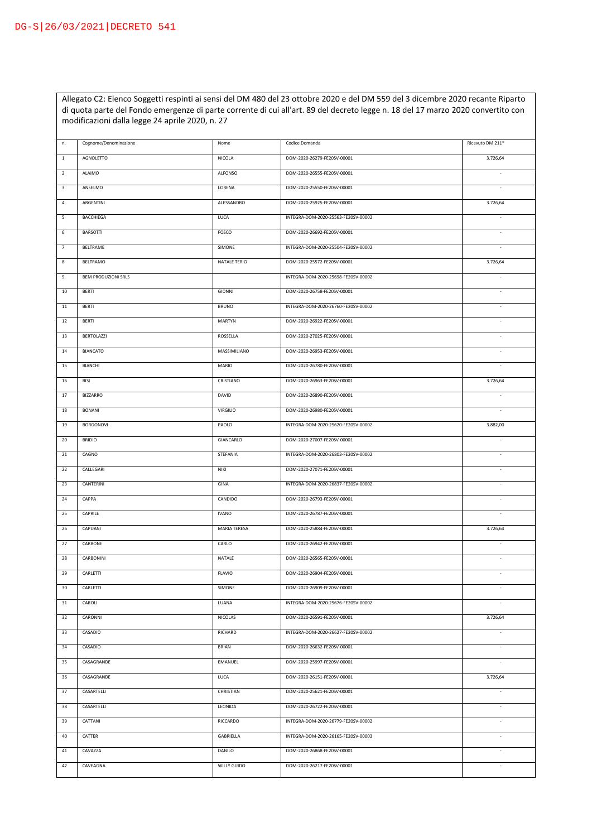Allegato C2: Elenco Soggetti respinti ai sensi del DM 480 del 23 ottobre 2020 e del DM 559 del 3 dicembre 2020 recante Riparto di quota parte del Fondo emergenze di parte corrente di cui all'art. 89 del decreto legge n. 18 del 17 marzo 2020 convertito con modificazioni dalla legge 24 aprile 2020, n. 27

| $\,$ 1 $\,$<br>AGNOLETTO<br>NICOLA<br>DOM-2020-26279-FE20SV-00001<br>3.726,64<br>$\overline{2}$<br>ALAIMO<br>ALFONSO<br>DOM-2020-26555-FE20SV-00001<br>$\overline{\phantom{a}}$<br>$\mathbf{3}$<br>ANSELMO<br>LORENA<br>DOM-2020-25550-FE20SV-00001<br>$\sim$<br>$\sqrt{4}$<br>ALESSANDRO<br>DOM-2020-25925-FE20SV-00001<br>ARGENTINI<br>3.726,64<br>5<br><b>BACCHIEGA</b><br>LUCA<br>INTEGRA-DOM-2020-25563-FE20SV-00002<br>$\sim$<br>6<br><b>BARSOTTI</b><br>FOSCO<br>DOM-2020-26692-FE20SV-00001<br>$\sim$<br>$\overline{7}$<br>BELTRAME<br>SIMONE<br>INTEGRA-DOM-2020-25504-FE20SV-00002<br>$\sim$<br>8<br>BELTRAMO<br>NATALE TERIO<br>DOM-2020-25572-FE20SV-00001<br>3.726,64<br>$\mathsf g$<br><b>BEM PRODUZIONI SRLS</b><br>INTEGRA-DOM-2020-25698-FE20SV-00002<br>10<br><b>BERTI</b><br><b>GIONNI</b><br>DOM-2020-26758-FE20SV-00001<br>$11\,$<br><b>BERTI</b><br><b>BRUNO</b><br>INTEGRA-DOM-2020-26760-FE20SV-00002<br>×,<br>12<br><b>BERTI</b><br>MARTYN<br>DOM-2020-26922-FE20SV-00001<br>$\sim$<br>13<br><b>BERTOLAZZI</b><br>ROSSELLA<br>DOM-2020-27025-FE20SV-00001<br>$\sim$<br>14<br><b>BIANCATO</b><br>MASSIMILIANO<br>DOM-2020-26953-FE20SV-00001<br>×<br>15<br>BIANCHI<br>MARIO<br>DOM-2020-26780-FE20SV-00001<br>$\sim$<br>CRISTIANO<br>DOM-2020-26963-FE20SV-00001<br>16<br><b>BISI</b><br>3.726,64<br>17<br><b>BIZZARRO</b><br>DOM-2020-26890-FE20SV-00001<br>DAVID<br>$\overline{\phantom{a}}$<br>18<br><b>BONANI</b><br><b>VIRGILIO</b><br>DOM-2020-26980-FE20SV-00001<br>$\sim$<br>19<br>BORGONOVI<br>PAOLO<br>INTEGRA-DOM-2020-25620-FE20SV-00002<br>3.882,00<br>DOM-2020-27007-FE20SV-00001<br>20<br><b>BRIDIO</b><br>GIANCARLO<br>$\sim$<br>$21\,$<br>CAGNO<br>STEFANIA<br>INTEGRA-DOM-2020-26803-FE20SV-00002<br>$\overline{\phantom{a}}$<br>DOM-2020-27071-FE20SV-00001<br>22<br>CALLEGARI<br>NIKI<br>$\sim$<br>INTEGRA-DOM-2020-26837-FE20SV-00002<br>23<br>CANTERINI<br>GINA<br>$\overline{\phantom{a}}$<br>24<br>CAPPA<br>CANDIDO<br>DOM-2020-26793-FE20SV-00001<br>$\overline{\phantom{a}}$<br>25<br>CAPRILE<br><b>IVANO</b><br>DOM-2020-26787-FE20SV-00001<br>$\overline{\phantom{a}}$<br>26<br>CAPUANI<br>MARIA TERESA<br>DOM-2020-25884-FE20SV-00001<br>3.726,64<br>27<br>CARBONE<br>CARLO<br>DOM-2020-26942-FE20SV-00001<br>$\overline{\phantom{a}}$<br>28<br>CARBONINI<br>NATALE<br>DOM-2020-26565-FE20SV-00001<br>29<br>CARLETTI<br><b>FLAVIO</b><br>DOM-2020-26904-FE20SV-00001<br>30<br>CARLETTI<br>SIMONE<br>DOM-2020-26909-FE20SV-00001<br>31<br>CAROLI<br>LUANA<br>INTEGRA-DOM-2020-25676-FE20SV-00002<br>×,<br>CARONNI<br>NICOLAS<br>DOM-2020-26591-FE20SV-00001<br>3.726,64<br>32<br>33<br>CASADIO<br>RICHARD<br>INTEGRA-DOM-2020-26627-FE20SV-00002<br>$\overline{\phantom{a}}$<br>CASADIO<br>34<br><b>BRIAN</b><br>DOM-2020-26632-FE20SV-00001<br>$\sim$<br>CASAGRANDE<br><b>EMANUEL</b><br>35<br>DOM-2020-25997-FE20SV-00001<br>$\sim$<br>CASAGRANDE<br>LUCA<br>DOM-2020-26151-FE20SV-00001<br>36<br>3.726,64<br>37<br>CASARTELLI<br>DOM-2020-25621-FE20SV-00001<br>CHRISTIAN<br>×,<br>CASARTELLI<br>38<br>LEONIDA<br>DOM-2020-26722-FE20SV-00001<br>×,<br>39<br>CATTANI<br>RICCARDO<br>INTEGRA-DOM-2020-26779-FE20SV-00002<br>÷.<br>40<br>CATTER<br>GABRIELLA<br>INTEGRA-DOM-2020-26165-FE20SV-00003<br>$\sim$<br>$41\,$<br>CAVAZZA<br>DANILO<br>DOM-2020-26868-FE20SV-00001<br>×,<br>42<br>CAVEAGNA<br>WILLY GUIDO<br>DOM-2020-26217-FE20SV-00001 | n. | Cognome/Denominazione | Nome | Codice Domanda | Ricevuto DM 211* |
|--------------------------------------------------------------------------------------------------------------------------------------------------------------------------------------------------------------------------------------------------------------------------------------------------------------------------------------------------------------------------------------------------------------------------------------------------------------------------------------------------------------------------------------------------------------------------------------------------------------------------------------------------------------------------------------------------------------------------------------------------------------------------------------------------------------------------------------------------------------------------------------------------------------------------------------------------------------------------------------------------------------------------------------------------------------------------------------------------------------------------------------------------------------------------------------------------------------------------------------------------------------------------------------------------------------------------------------------------------------------------------------------------------------------------------------------------------------------------------------------------------------------------------------------------------------------------------------------------------------------------------------------------------------------------------------------------------------------------------------------------------------------------------------------------------------------------------------------------------------------------------------------------------------------------------------------------------------------------------------------------------------------------------------------------------------------------------------------------------------------------------------------------------------------------------------------------------------------------------------------------------------------------------------------------------------------------------------------------------------------------------------------------------------------------------------------------------------------------------------------------------------------------------------------------------------------------------------------------------------------------------------------------------------------------------------------------------------------------------------------------------------------------------------------------------------------------------------------------------------------------------------------------------------------------------------------------------------------------------------------------------------------------------------------------------------------------------------------------------------------------------------------------------------------------------------------------------------------------------------------------------------------------------------------------------------------------------------------------------------------------------------------------------|----|-----------------------|------|----------------|------------------|
|                                                                                                                                                                                                                                                                                                                                                                                                                                                                                                                                                                                                                                                                                                                                                                                                                                                                                                                                                                                                                                                                                                                                                                                                                                                                                                                                                                                                                                                                                                                                                                                                                                                                                                                                                                                                                                                                                                                                                                                                                                                                                                                                                                                                                                                                                                                                                                                                                                                                                                                                                                                                                                                                                                                                                                                                                                                                                                                                                                                                                                                                                                                                                                                                                                                                                                                                                                                                        |    |                       |      |                |                  |
|                                                                                                                                                                                                                                                                                                                                                                                                                                                                                                                                                                                                                                                                                                                                                                                                                                                                                                                                                                                                                                                                                                                                                                                                                                                                                                                                                                                                                                                                                                                                                                                                                                                                                                                                                                                                                                                                                                                                                                                                                                                                                                                                                                                                                                                                                                                                                                                                                                                                                                                                                                                                                                                                                                                                                                                                                                                                                                                                                                                                                                                                                                                                                                                                                                                                                                                                                                                                        |    |                       |      |                |                  |
|                                                                                                                                                                                                                                                                                                                                                                                                                                                                                                                                                                                                                                                                                                                                                                                                                                                                                                                                                                                                                                                                                                                                                                                                                                                                                                                                                                                                                                                                                                                                                                                                                                                                                                                                                                                                                                                                                                                                                                                                                                                                                                                                                                                                                                                                                                                                                                                                                                                                                                                                                                                                                                                                                                                                                                                                                                                                                                                                                                                                                                                                                                                                                                                                                                                                                                                                                                                                        |    |                       |      |                |                  |
|                                                                                                                                                                                                                                                                                                                                                                                                                                                                                                                                                                                                                                                                                                                                                                                                                                                                                                                                                                                                                                                                                                                                                                                                                                                                                                                                                                                                                                                                                                                                                                                                                                                                                                                                                                                                                                                                                                                                                                                                                                                                                                                                                                                                                                                                                                                                                                                                                                                                                                                                                                                                                                                                                                                                                                                                                                                                                                                                                                                                                                                                                                                                                                                                                                                                                                                                                                                                        |    |                       |      |                |                  |
|                                                                                                                                                                                                                                                                                                                                                                                                                                                                                                                                                                                                                                                                                                                                                                                                                                                                                                                                                                                                                                                                                                                                                                                                                                                                                                                                                                                                                                                                                                                                                                                                                                                                                                                                                                                                                                                                                                                                                                                                                                                                                                                                                                                                                                                                                                                                                                                                                                                                                                                                                                                                                                                                                                                                                                                                                                                                                                                                                                                                                                                                                                                                                                                                                                                                                                                                                                                                        |    |                       |      |                |                  |
|                                                                                                                                                                                                                                                                                                                                                                                                                                                                                                                                                                                                                                                                                                                                                                                                                                                                                                                                                                                                                                                                                                                                                                                                                                                                                                                                                                                                                                                                                                                                                                                                                                                                                                                                                                                                                                                                                                                                                                                                                                                                                                                                                                                                                                                                                                                                                                                                                                                                                                                                                                                                                                                                                                                                                                                                                                                                                                                                                                                                                                                                                                                                                                                                                                                                                                                                                                                                        |    |                       |      |                |                  |
|                                                                                                                                                                                                                                                                                                                                                                                                                                                                                                                                                                                                                                                                                                                                                                                                                                                                                                                                                                                                                                                                                                                                                                                                                                                                                                                                                                                                                                                                                                                                                                                                                                                                                                                                                                                                                                                                                                                                                                                                                                                                                                                                                                                                                                                                                                                                                                                                                                                                                                                                                                                                                                                                                                                                                                                                                                                                                                                                                                                                                                                                                                                                                                                                                                                                                                                                                                                                        |    |                       |      |                |                  |
|                                                                                                                                                                                                                                                                                                                                                                                                                                                                                                                                                                                                                                                                                                                                                                                                                                                                                                                                                                                                                                                                                                                                                                                                                                                                                                                                                                                                                                                                                                                                                                                                                                                                                                                                                                                                                                                                                                                                                                                                                                                                                                                                                                                                                                                                                                                                                                                                                                                                                                                                                                                                                                                                                                                                                                                                                                                                                                                                                                                                                                                                                                                                                                                                                                                                                                                                                                                                        |    |                       |      |                |                  |
|                                                                                                                                                                                                                                                                                                                                                                                                                                                                                                                                                                                                                                                                                                                                                                                                                                                                                                                                                                                                                                                                                                                                                                                                                                                                                                                                                                                                                                                                                                                                                                                                                                                                                                                                                                                                                                                                                                                                                                                                                                                                                                                                                                                                                                                                                                                                                                                                                                                                                                                                                                                                                                                                                                                                                                                                                                                                                                                                                                                                                                                                                                                                                                                                                                                                                                                                                                                                        |    |                       |      |                |                  |
|                                                                                                                                                                                                                                                                                                                                                                                                                                                                                                                                                                                                                                                                                                                                                                                                                                                                                                                                                                                                                                                                                                                                                                                                                                                                                                                                                                                                                                                                                                                                                                                                                                                                                                                                                                                                                                                                                                                                                                                                                                                                                                                                                                                                                                                                                                                                                                                                                                                                                                                                                                                                                                                                                                                                                                                                                                                                                                                                                                                                                                                                                                                                                                                                                                                                                                                                                                                                        |    |                       |      |                |                  |
|                                                                                                                                                                                                                                                                                                                                                                                                                                                                                                                                                                                                                                                                                                                                                                                                                                                                                                                                                                                                                                                                                                                                                                                                                                                                                                                                                                                                                                                                                                                                                                                                                                                                                                                                                                                                                                                                                                                                                                                                                                                                                                                                                                                                                                                                                                                                                                                                                                                                                                                                                                                                                                                                                                                                                                                                                                                                                                                                                                                                                                                                                                                                                                                                                                                                                                                                                                                                        |    |                       |      |                |                  |
|                                                                                                                                                                                                                                                                                                                                                                                                                                                                                                                                                                                                                                                                                                                                                                                                                                                                                                                                                                                                                                                                                                                                                                                                                                                                                                                                                                                                                                                                                                                                                                                                                                                                                                                                                                                                                                                                                                                                                                                                                                                                                                                                                                                                                                                                                                                                                                                                                                                                                                                                                                                                                                                                                                                                                                                                                                                                                                                                                                                                                                                                                                                                                                                                                                                                                                                                                                                                        |    |                       |      |                |                  |
|                                                                                                                                                                                                                                                                                                                                                                                                                                                                                                                                                                                                                                                                                                                                                                                                                                                                                                                                                                                                                                                                                                                                                                                                                                                                                                                                                                                                                                                                                                                                                                                                                                                                                                                                                                                                                                                                                                                                                                                                                                                                                                                                                                                                                                                                                                                                                                                                                                                                                                                                                                                                                                                                                                                                                                                                                                                                                                                                                                                                                                                                                                                                                                                                                                                                                                                                                                                                        |    |                       |      |                |                  |
|                                                                                                                                                                                                                                                                                                                                                                                                                                                                                                                                                                                                                                                                                                                                                                                                                                                                                                                                                                                                                                                                                                                                                                                                                                                                                                                                                                                                                                                                                                                                                                                                                                                                                                                                                                                                                                                                                                                                                                                                                                                                                                                                                                                                                                                                                                                                                                                                                                                                                                                                                                                                                                                                                                                                                                                                                                                                                                                                                                                                                                                                                                                                                                                                                                                                                                                                                                                                        |    |                       |      |                |                  |
|                                                                                                                                                                                                                                                                                                                                                                                                                                                                                                                                                                                                                                                                                                                                                                                                                                                                                                                                                                                                                                                                                                                                                                                                                                                                                                                                                                                                                                                                                                                                                                                                                                                                                                                                                                                                                                                                                                                                                                                                                                                                                                                                                                                                                                                                                                                                                                                                                                                                                                                                                                                                                                                                                                                                                                                                                                                                                                                                                                                                                                                                                                                                                                                                                                                                                                                                                                                                        |    |                       |      |                |                  |
|                                                                                                                                                                                                                                                                                                                                                                                                                                                                                                                                                                                                                                                                                                                                                                                                                                                                                                                                                                                                                                                                                                                                                                                                                                                                                                                                                                                                                                                                                                                                                                                                                                                                                                                                                                                                                                                                                                                                                                                                                                                                                                                                                                                                                                                                                                                                                                                                                                                                                                                                                                                                                                                                                                                                                                                                                                                                                                                                                                                                                                                                                                                                                                                                                                                                                                                                                                                                        |    |                       |      |                |                  |
|                                                                                                                                                                                                                                                                                                                                                                                                                                                                                                                                                                                                                                                                                                                                                                                                                                                                                                                                                                                                                                                                                                                                                                                                                                                                                                                                                                                                                                                                                                                                                                                                                                                                                                                                                                                                                                                                                                                                                                                                                                                                                                                                                                                                                                                                                                                                                                                                                                                                                                                                                                                                                                                                                                                                                                                                                                                                                                                                                                                                                                                                                                                                                                                                                                                                                                                                                                                                        |    |                       |      |                |                  |
|                                                                                                                                                                                                                                                                                                                                                                                                                                                                                                                                                                                                                                                                                                                                                                                                                                                                                                                                                                                                                                                                                                                                                                                                                                                                                                                                                                                                                                                                                                                                                                                                                                                                                                                                                                                                                                                                                                                                                                                                                                                                                                                                                                                                                                                                                                                                                                                                                                                                                                                                                                                                                                                                                                                                                                                                                                                                                                                                                                                                                                                                                                                                                                                                                                                                                                                                                                                                        |    |                       |      |                |                  |
|                                                                                                                                                                                                                                                                                                                                                                                                                                                                                                                                                                                                                                                                                                                                                                                                                                                                                                                                                                                                                                                                                                                                                                                                                                                                                                                                                                                                                                                                                                                                                                                                                                                                                                                                                                                                                                                                                                                                                                                                                                                                                                                                                                                                                                                                                                                                                                                                                                                                                                                                                                                                                                                                                                                                                                                                                                                                                                                                                                                                                                                                                                                                                                                                                                                                                                                                                                                                        |    |                       |      |                |                  |
|                                                                                                                                                                                                                                                                                                                                                                                                                                                                                                                                                                                                                                                                                                                                                                                                                                                                                                                                                                                                                                                                                                                                                                                                                                                                                                                                                                                                                                                                                                                                                                                                                                                                                                                                                                                                                                                                                                                                                                                                                                                                                                                                                                                                                                                                                                                                                                                                                                                                                                                                                                                                                                                                                                                                                                                                                                                                                                                                                                                                                                                                                                                                                                                                                                                                                                                                                                                                        |    |                       |      |                |                  |
|                                                                                                                                                                                                                                                                                                                                                                                                                                                                                                                                                                                                                                                                                                                                                                                                                                                                                                                                                                                                                                                                                                                                                                                                                                                                                                                                                                                                                                                                                                                                                                                                                                                                                                                                                                                                                                                                                                                                                                                                                                                                                                                                                                                                                                                                                                                                                                                                                                                                                                                                                                                                                                                                                                                                                                                                                                                                                                                                                                                                                                                                                                                                                                                                                                                                                                                                                                                                        |    |                       |      |                |                  |
|                                                                                                                                                                                                                                                                                                                                                                                                                                                                                                                                                                                                                                                                                                                                                                                                                                                                                                                                                                                                                                                                                                                                                                                                                                                                                                                                                                                                                                                                                                                                                                                                                                                                                                                                                                                                                                                                                                                                                                                                                                                                                                                                                                                                                                                                                                                                                                                                                                                                                                                                                                                                                                                                                                                                                                                                                                                                                                                                                                                                                                                                                                                                                                                                                                                                                                                                                                                                        |    |                       |      |                |                  |
|                                                                                                                                                                                                                                                                                                                                                                                                                                                                                                                                                                                                                                                                                                                                                                                                                                                                                                                                                                                                                                                                                                                                                                                                                                                                                                                                                                                                                                                                                                                                                                                                                                                                                                                                                                                                                                                                                                                                                                                                                                                                                                                                                                                                                                                                                                                                                                                                                                                                                                                                                                                                                                                                                                                                                                                                                                                                                                                                                                                                                                                                                                                                                                                                                                                                                                                                                                                                        |    |                       |      |                |                  |
|                                                                                                                                                                                                                                                                                                                                                                                                                                                                                                                                                                                                                                                                                                                                                                                                                                                                                                                                                                                                                                                                                                                                                                                                                                                                                                                                                                                                                                                                                                                                                                                                                                                                                                                                                                                                                                                                                                                                                                                                                                                                                                                                                                                                                                                                                                                                                                                                                                                                                                                                                                                                                                                                                                                                                                                                                                                                                                                                                                                                                                                                                                                                                                                                                                                                                                                                                                                                        |    |                       |      |                |                  |
|                                                                                                                                                                                                                                                                                                                                                                                                                                                                                                                                                                                                                                                                                                                                                                                                                                                                                                                                                                                                                                                                                                                                                                                                                                                                                                                                                                                                                                                                                                                                                                                                                                                                                                                                                                                                                                                                                                                                                                                                                                                                                                                                                                                                                                                                                                                                                                                                                                                                                                                                                                                                                                                                                                                                                                                                                                                                                                                                                                                                                                                                                                                                                                                                                                                                                                                                                                                                        |    |                       |      |                |                  |
|                                                                                                                                                                                                                                                                                                                                                                                                                                                                                                                                                                                                                                                                                                                                                                                                                                                                                                                                                                                                                                                                                                                                                                                                                                                                                                                                                                                                                                                                                                                                                                                                                                                                                                                                                                                                                                                                                                                                                                                                                                                                                                                                                                                                                                                                                                                                                                                                                                                                                                                                                                                                                                                                                                                                                                                                                                                                                                                                                                                                                                                                                                                                                                                                                                                                                                                                                                                                        |    |                       |      |                |                  |
|                                                                                                                                                                                                                                                                                                                                                                                                                                                                                                                                                                                                                                                                                                                                                                                                                                                                                                                                                                                                                                                                                                                                                                                                                                                                                                                                                                                                                                                                                                                                                                                                                                                                                                                                                                                                                                                                                                                                                                                                                                                                                                                                                                                                                                                                                                                                                                                                                                                                                                                                                                                                                                                                                                                                                                                                                                                                                                                                                                                                                                                                                                                                                                                                                                                                                                                                                                                                        |    |                       |      |                |                  |
|                                                                                                                                                                                                                                                                                                                                                                                                                                                                                                                                                                                                                                                                                                                                                                                                                                                                                                                                                                                                                                                                                                                                                                                                                                                                                                                                                                                                                                                                                                                                                                                                                                                                                                                                                                                                                                                                                                                                                                                                                                                                                                                                                                                                                                                                                                                                                                                                                                                                                                                                                                                                                                                                                                                                                                                                                                                                                                                                                                                                                                                                                                                                                                                                                                                                                                                                                                                                        |    |                       |      |                |                  |
|                                                                                                                                                                                                                                                                                                                                                                                                                                                                                                                                                                                                                                                                                                                                                                                                                                                                                                                                                                                                                                                                                                                                                                                                                                                                                                                                                                                                                                                                                                                                                                                                                                                                                                                                                                                                                                                                                                                                                                                                                                                                                                                                                                                                                                                                                                                                                                                                                                                                                                                                                                                                                                                                                                                                                                                                                                                                                                                                                                                                                                                                                                                                                                                                                                                                                                                                                                                                        |    |                       |      |                |                  |
|                                                                                                                                                                                                                                                                                                                                                                                                                                                                                                                                                                                                                                                                                                                                                                                                                                                                                                                                                                                                                                                                                                                                                                                                                                                                                                                                                                                                                                                                                                                                                                                                                                                                                                                                                                                                                                                                                                                                                                                                                                                                                                                                                                                                                                                                                                                                                                                                                                                                                                                                                                                                                                                                                                                                                                                                                                                                                                                                                                                                                                                                                                                                                                                                                                                                                                                                                                                                        |    |                       |      |                |                  |
|                                                                                                                                                                                                                                                                                                                                                                                                                                                                                                                                                                                                                                                                                                                                                                                                                                                                                                                                                                                                                                                                                                                                                                                                                                                                                                                                                                                                                                                                                                                                                                                                                                                                                                                                                                                                                                                                                                                                                                                                                                                                                                                                                                                                                                                                                                                                                                                                                                                                                                                                                                                                                                                                                                                                                                                                                                                                                                                                                                                                                                                                                                                                                                                                                                                                                                                                                                                                        |    |                       |      |                |                  |
|                                                                                                                                                                                                                                                                                                                                                                                                                                                                                                                                                                                                                                                                                                                                                                                                                                                                                                                                                                                                                                                                                                                                                                                                                                                                                                                                                                                                                                                                                                                                                                                                                                                                                                                                                                                                                                                                                                                                                                                                                                                                                                                                                                                                                                                                                                                                                                                                                                                                                                                                                                                                                                                                                                                                                                                                                                                                                                                                                                                                                                                                                                                                                                                                                                                                                                                                                                                                        |    |                       |      |                |                  |
|                                                                                                                                                                                                                                                                                                                                                                                                                                                                                                                                                                                                                                                                                                                                                                                                                                                                                                                                                                                                                                                                                                                                                                                                                                                                                                                                                                                                                                                                                                                                                                                                                                                                                                                                                                                                                                                                                                                                                                                                                                                                                                                                                                                                                                                                                                                                                                                                                                                                                                                                                                                                                                                                                                                                                                                                                                                                                                                                                                                                                                                                                                                                                                                                                                                                                                                                                                                                        |    |                       |      |                |                  |
|                                                                                                                                                                                                                                                                                                                                                                                                                                                                                                                                                                                                                                                                                                                                                                                                                                                                                                                                                                                                                                                                                                                                                                                                                                                                                                                                                                                                                                                                                                                                                                                                                                                                                                                                                                                                                                                                                                                                                                                                                                                                                                                                                                                                                                                                                                                                                                                                                                                                                                                                                                                                                                                                                                                                                                                                                                                                                                                                                                                                                                                                                                                                                                                                                                                                                                                                                                                                        |    |                       |      |                |                  |
|                                                                                                                                                                                                                                                                                                                                                                                                                                                                                                                                                                                                                                                                                                                                                                                                                                                                                                                                                                                                                                                                                                                                                                                                                                                                                                                                                                                                                                                                                                                                                                                                                                                                                                                                                                                                                                                                                                                                                                                                                                                                                                                                                                                                                                                                                                                                                                                                                                                                                                                                                                                                                                                                                                                                                                                                                                                                                                                                                                                                                                                                                                                                                                                                                                                                                                                                                                                                        |    |                       |      |                |                  |
|                                                                                                                                                                                                                                                                                                                                                                                                                                                                                                                                                                                                                                                                                                                                                                                                                                                                                                                                                                                                                                                                                                                                                                                                                                                                                                                                                                                                                                                                                                                                                                                                                                                                                                                                                                                                                                                                                                                                                                                                                                                                                                                                                                                                                                                                                                                                                                                                                                                                                                                                                                                                                                                                                                                                                                                                                                                                                                                                                                                                                                                                                                                                                                                                                                                                                                                                                                                                        |    |                       |      |                |                  |
|                                                                                                                                                                                                                                                                                                                                                                                                                                                                                                                                                                                                                                                                                                                                                                                                                                                                                                                                                                                                                                                                                                                                                                                                                                                                                                                                                                                                                                                                                                                                                                                                                                                                                                                                                                                                                                                                                                                                                                                                                                                                                                                                                                                                                                                                                                                                                                                                                                                                                                                                                                                                                                                                                                                                                                                                                                                                                                                                                                                                                                                                                                                                                                                                                                                                                                                                                                                                        |    |                       |      |                |                  |
|                                                                                                                                                                                                                                                                                                                                                                                                                                                                                                                                                                                                                                                                                                                                                                                                                                                                                                                                                                                                                                                                                                                                                                                                                                                                                                                                                                                                                                                                                                                                                                                                                                                                                                                                                                                                                                                                                                                                                                                                                                                                                                                                                                                                                                                                                                                                                                                                                                                                                                                                                                                                                                                                                                                                                                                                                                                                                                                                                                                                                                                                                                                                                                                                                                                                                                                                                                                                        |    |                       |      |                |                  |
|                                                                                                                                                                                                                                                                                                                                                                                                                                                                                                                                                                                                                                                                                                                                                                                                                                                                                                                                                                                                                                                                                                                                                                                                                                                                                                                                                                                                                                                                                                                                                                                                                                                                                                                                                                                                                                                                                                                                                                                                                                                                                                                                                                                                                                                                                                                                                                                                                                                                                                                                                                                                                                                                                                                                                                                                                                                                                                                                                                                                                                                                                                                                                                                                                                                                                                                                                                                                        |    |                       |      |                |                  |
|                                                                                                                                                                                                                                                                                                                                                                                                                                                                                                                                                                                                                                                                                                                                                                                                                                                                                                                                                                                                                                                                                                                                                                                                                                                                                                                                                                                                                                                                                                                                                                                                                                                                                                                                                                                                                                                                                                                                                                                                                                                                                                                                                                                                                                                                                                                                                                                                                                                                                                                                                                                                                                                                                                                                                                                                                                                                                                                                                                                                                                                                                                                                                                                                                                                                                                                                                                                                        |    |                       |      |                |                  |
|                                                                                                                                                                                                                                                                                                                                                                                                                                                                                                                                                                                                                                                                                                                                                                                                                                                                                                                                                                                                                                                                                                                                                                                                                                                                                                                                                                                                                                                                                                                                                                                                                                                                                                                                                                                                                                                                                                                                                                                                                                                                                                                                                                                                                                                                                                                                                                                                                                                                                                                                                                                                                                                                                                                                                                                                                                                                                                                                                                                                                                                                                                                                                                                                                                                                                                                                                                                                        |    |                       |      |                |                  |
|                                                                                                                                                                                                                                                                                                                                                                                                                                                                                                                                                                                                                                                                                                                                                                                                                                                                                                                                                                                                                                                                                                                                                                                                                                                                                                                                                                                                                                                                                                                                                                                                                                                                                                                                                                                                                                                                                                                                                                                                                                                                                                                                                                                                                                                                                                                                                                                                                                                                                                                                                                                                                                                                                                                                                                                                                                                                                                                                                                                                                                                                                                                                                                                                                                                                                                                                                                                                        |    |                       |      |                |                  |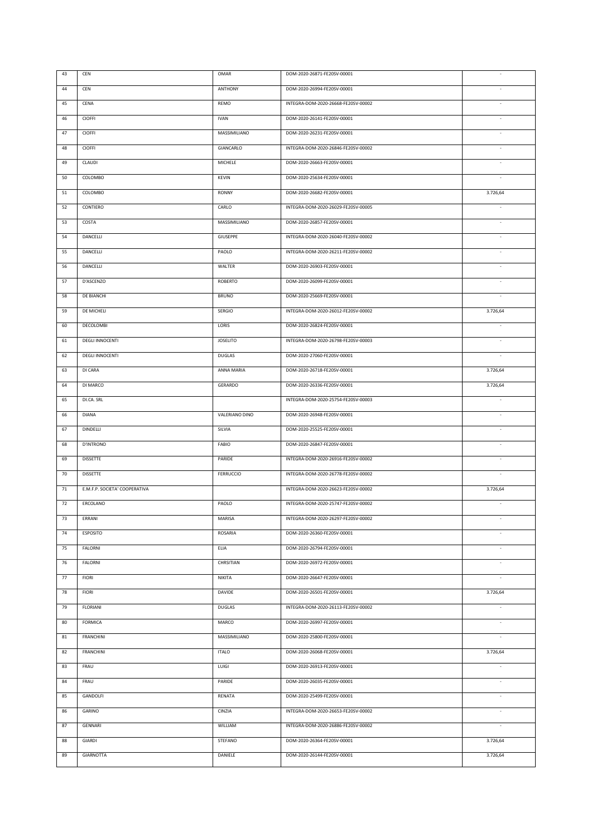| 44<br>CEN<br><b>ANTHONY</b><br>DOM-2020-26994-FE20SV-00001<br>÷.<br>45<br>CENA<br>REMO<br>INTEGRA-DOM-2020-26668-FE20SV-00002<br>$\sim$<br>DOM-2020-26141-FE20SV-00001<br>46<br>CIOFFI<br><b>IVAN</b><br>÷,<br>47<br>CIOFFI<br>MASSIMILIANO<br>DOM-2020-26231-FE20SV-00001<br>÷,<br>48<br>CIOFFI<br>GIANCARLO<br>INTEGRA-DOM-2020-26846-FE20SV-00002<br>×,<br>49<br>CLAUDI<br>MICHELE<br>DOM-2020-26663-FE20SV-00001<br>$\sim$<br>50<br>COLOMBO<br><b>KEVIN</b><br>DOM-2020-25634-FE20SV-00001<br>51<br>COLOMBO<br><b>RONNY</b><br>DOM-2020-26682-FE20SV-00001<br>3.726,64<br>52<br>CONTIERO<br>CARLO<br>INTEGRA-DOM-2020-26029-FE20SV-00005<br>$\sim$<br>DOM-2020-26857-FE20SV-00001<br>53<br>COSTA<br>MASSIMILIANO<br>×<br>54<br>DANCELLI<br>GIUSEPPE<br>INTEGRA-DOM-2020-26040-FE20SV-00002<br>$\sim$<br>55<br>DANCELLI<br>PAOLO<br>INTEGRA-DOM-2020-26211-FE20SV-00002<br>$\sim$<br>DANCELLI<br>WALTER<br>DOM-2020-26903-FE20SV-00001<br>56<br>$\sim$<br>57<br>D'ASCENZO<br>ROBERTO<br>DOM-2020-26099-FE20SV-00001<br>$\sim$<br>58<br>DE BIANCHI<br><b>BRUNO</b><br>DOM-2020-25669-FE20SV-00001<br>$\sim$<br>59<br>DE MICHELI<br>SERGIO<br>INTEGRA-DOM-2020-26012-FE20SV-00002<br>3.726,64<br>DECOLOMBI<br>LORIS<br>DOM-2020-26824-FE20SV-00001<br>60<br>$\sim$<br><b>DEGLI INNOCENTI</b><br><b>JOSELITO</b><br>INTEGRA-DOM-2020-26798-FE20SV-00003<br>61<br>$\Box$<br><b>DEGLI INNOCENTI</b><br>62<br>DUGLAS<br>DOM-2020-27060-FE20SV-00001<br>$\sim$<br>DI CARA<br>DOM-2020-26718-FE20SV-00001<br>63<br>ANNA MARIA<br>3.726,64<br>DI MARCO<br>DOM-2020-26336-FE20SV-00001<br>64<br>GERARDO<br>3.726,64<br>65<br>DI.CA. SRL<br>INTEGRA-DOM-2020-25754-FE20SV-00003<br>$\overline{\phantom{a}}$<br>66<br><b>DIANA</b><br>VALERIANO DINO<br>DOM-2020-26948-FE20SV-00001<br>÷,<br>67<br><b>DINDELLI</b><br>SILVIA<br>DOM-2020-25525-FE20SV-00001<br>÷,<br>68<br>D'INTRONO<br>FABIO<br>DOM-2020-26847-FE20SV-00001<br>$\frac{1}{2}$<br><b>DISSETTE</b><br>69<br>PARIDE<br>INTEGRA-DOM-2020-26916-FE20SV-00002<br>ä,<br>70<br><b>DISSETTE</b><br>FERRUCCIO<br>INTEGRA-DOM-2020-26778-FE20SV-00002<br>$71\,$<br>E.M.F.P. SOCIETA' COOPERATIVA<br>INTEGRA-DOM-2020-26623-FE20SV-00002<br>3.726,64<br>72<br>PAOLO<br>INTEGRA-DOM-2020-25747-FE20SV-00002<br>ERCOLANO<br>$\overline{\phantom{a}}$<br>73<br>ERRANI<br>MARISA<br>INTEGRA-DOM-2020-26297-FE20SV-00002<br>74<br><b>ESPOSITO</b><br>ROSARIA<br>DOM-2020-26360-FE20SV-00001<br>÷,<br>75<br>ELIA<br>DOM-2020-26794-FE20SV-00001<br>FALORNI<br>$\overline{\phantom{a}}$<br>76<br>FALORNI<br>CHRSITIAN<br>DOM-2020-26972-FE20SV-00001<br>$\overline{\phantom{a}}$<br>$77 \,$<br>NIKITA<br>DOM-2020-26647-FE20SV-00001<br><b>FIORI</b><br>78<br><b>FIORI</b><br><b>DAVIDE</b><br>DOM-2020-26501-FE20SV-00001<br>3.726,64<br>79<br><b>FLORIANI</b><br><b>DUGLAS</b><br>INTEGRA-DOM-2020-26113-FE20SV-00002<br>$\sim$<br><b>FORMICA</b><br>MARCO<br>DOM-2020-26997-FE20SV-00001<br>80<br>÷,<br>81<br><b>FRANCHINI</b><br>MASSIMILIANO<br>DOM-2020-25800-FE20SV-00001<br>÷,<br>82<br><b>FRANCHINI</b><br><b>ITALO</b><br>DOM-2020-26068-FE20SV-00001<br>3.726,64<br>83<br>FRAU<br>LUIGI<br>DOM-2020-26913-FE20SV-00001 | 43 | CEN | OMAR | DOM-2020-26871-FE20SV-00001 |  |
|-----------------------------------------------------------------------------------------------------------------------------------------------------------------------------------------------------------------------------------------------------------------------------------------------------------------------------------------------------------------------------------------------------------------------------------------------------------------------------------------------------------------------------------------------------------------------------------------------------------------------------------------------------------------------------------------------------------------------------------------------------------------------------------------------------------------------------------------------------------------------------------------------------------------------------------------------------------------------------------------------------------------------------------------------------------------------------------------------------------------------------------------------------------------------------------------------------------------------------------------------------------------------------------------------------------------------------------------------------------------------------------------------------------------------------------------------------------------------------------------------------------------------------------------------------------------------------------------------------------------------------------------------------------------------------------------------------------------------------------------------------------------------------------------------------------------------------------------------------------------------------------------------------------------------------------------------------------------------------------------------------------------------------------------------------------------------------------------------------------------------------------------------------------------------------------------------------------------------------------------------------------------------------------------------------------------------------------------------------------------------------------------------------------------------------------------------------------------------------------------------------------------------------------------------------------------------------------------------------------------------------------------------------------------------------------------------------------------------------------------------------------------------------------------------------------------------------------------------------------------------------------------------------------------------------------------------------------------------------------------------------------------------------------------------------------------------------------------------------------------------------------------------------------------------|----|-----|------|-----------------------------|--|
|                                                                                                                                                                                                                                                                                                                                                                                                                                                                                                                                                                                                                                                                                                                                                                                                                                                                                                                                                                                                                                                                                                                                                                                                                                                                                                                                                                                                                                                                                                                                                                                                                                                                                                                                                                                                                                                                                                                                                                                                                                                                                                                                                                                                                                                                                                                                                                                                                                                                                                                                                                                                                                                                                                                                                                                                                                                                                                                                                                                                                                                                                                                                                                       |    |     |      |                             |  |
|                                                                                                                                                                                                                                                                                                                                                                                                                                                                                                                                                                                                                                                                                                                                                                                                                                                                                                                                                                                                                                                                                                                                                                                                                                                                                                                                                                                                                                                                                                                                                                                                                                                                                                                                                                                                                                                                                                                                                                                                                                                                                                                                                                                                                                                                                                                                                                                                                                                                                                                                                                                                                                                                                                                                                                                                                                                                                                                                                                                                                                                                                                                                                                       |    |     |      |                             |  |
|                                                                                                                                                                                                                                                                                                                                                                                                                                                                                                                                                                                                                                                                                                                                                                                                                                                                                                                                                                                                                                                                                                                                                                                                                                                                                                                                                                                                                                                                                                                                                                                                                                                                                                                                                                                                                                                                                                                                                                                                                                                                                                                                                                                                                                                                                                                                                                                                                                                                                                                                                                                                                                                                                                                                                                                                                                                                                                                                                                                                                                                                                                                                                                       |    |     |      |                             |  |
|                                                                                                                                                                                                                                                                                                                                                                                                                                                                                                                                                                                                                                                                                                                                                                                                                                                                                                                                                                                                                                                                                                                                                                                                                                                                                                                                                                                                                                                                                                                                                                                                                                                                                                                                                                                                                                                                                                                                                                                                                                                                                                                                                                                                                                                                                                                                                                                                                                                                                                                                                                                                                                                                                                                                                                                                                                                                                                                                                                                                                                                                                                                                                                       |    |     |      |                             |  |
|                                                                                                                                                                                                                                                                                                                                                                                                                                                                                                                                                                                                                                                                                                                                                                                                                                                                                                                                                                                                                                                                                                                                                                                                                                                                                                                                                                                                                                                                                                                                                                                                                                                                                                                                                                                                                                                                                                                                                                                                                                                                                                                                                                                                                                                                                                                                                                                                                                                                                                                                                                                                                                                                                                                                                                                                                                                                                                                                                                                                                                                                                                                                                                       |    |     |      |                             |  |
|                                                                                                                                                                                                                                                                                                                                                                                                                                                                                                                                                                                                                                                                                                                                                                                                                                                                                                                                                                                                                                                                                                                                                                                                                                                                                                                                                                                                                                                                                                                                                                                                                                                                                                                                                                                                                                                                                                                                                                                                                                                                                                                                                                                                                                                                                                                                                                                                                                                                                                                                                                                                                                                                                                                                                                                                                                                                                                                                                                                                                                                                                                                                                                       |    |     |      |                             |  |
|                                                                                                                                                                                                                                                                                                                                                                                                                                                                                                                                                                                                                                                                                                                                                                                                                                                                                                                                                                                                                                                                                                                                                                                                                                                                                                                                                                                                                                                                                                                                                                                                                                                                                                                                                                                                                                                                                                                                                                                                                                                                                                                                                                                                                                                                                                                                                                                                                                                                                                                                                                                                                                                                                                                                                                                                                                                                                                                                                                                                                                                                                                                                                                       |    |     |      |                             |  |
|                                                                                                                                                                                                                                                                                                                                                                                                                                                                                                                                                                                                                                                                                                                                                                                                                                                                                                                                                                                                                                                                                                                                                                                                                                                                                                                                                                                                                                                                                                                                                                                                                                                                                                                                                                                                                                                                                                                                                                                                                                                                                                                                                                                                                                                                                                                                                                                                                                                                                                                                                                                                                                                                                                                                                                                                                                                                                                                                                                                                                                                                                                                                                                       |    |     |      |                             |  |
|                                                                                                                                                                                                                                                                                                                                                                                                                                                                                                                                                                                                                                                                                                                                                                                                                                                                                                                                                                                                                                                                                                                                                                                                                                                                                                                                                                                                                                                                                                                                                                                                                                                                                                                                                                                                                                                                                                                                                                                                                                                                                                                                                                                                                                                                                                                                                                                                                                                                                                                                                                                                                                                                                                                                                                                                                                                                                                                                                                                                                                                                                                                                                                       |    |     |      |                             |  |
|                                                                                                                                                                                                                                                                                                                                                                                                                                                                                                                                                                                                                                                                                                                                                                                                                                                                                                                                                                                                                                                                                                                                                                                                                                                                                                                                                                                                                                                                                                                                                                                                                                                                                                                                                                                                                                                                                                                                                                                                                                                                                                                                                                                                                                                                                                                                                                                                                                                                                                                                                                                                                                                                                                                                                                                                                                                                                                                                                                                                                                                                                                                                                                       |    |     |      |                             |  |
|                                                                                                                                                                                                                                                                                                                                                                                                                                                                                                                                                                                                                                                                                                                                                                                                                                                                                                                                                                                                                                                                                                                                                                                                                                                                                                                                                                                                                                                                                                                                                                                                                                                                                                                                                                                                                                                                                                                                                                                                                                                                                                                                                                                                                                                                                                                                                                                                                                                                                                                                                                                                                                                                                                                                                                                                                                                                                                                                                                                                                                                                                                                                                                       |    |     |      |                             |  |
|                                                                                                                                                                                                                                                                                                                                                                                                                                                                                                                                                                                                                                                                                                                                                                                                                                                                                                                                                                                                                                                                                                                                                                                                                                                                                                                                                                                                                                                                                                                                                                                                                                                                                                                                                                                                                                                                                                                                                                                                                                                                                                                                                                                                                                                                                                                                                                                                                                                                                                                                                                                                                                                                                                                                                                                                                                                                                                                                                                                                                                                                                                                                                                       |    |     |      |                             |  |
|                                                                                                                                                                                                                                                                                                                                                                                                                                                                                                                                                                                                                                                                                                                                                                                                                                                                                                                                                                                                                                                                                                                                                                                                                                                                                                                                                                                                                                                                                                                                                                                                                                                                                                                                                                                                                                                                                                                                                                                                                                                                                                                                                                                                                                                                                                                                                                                                                                                                                                                                                                                                                                                                                                                                                                                                                                                                                                                                                                                                                                                                                                                                                                       |    |     |      |                             |  |
|                                                                                                                                                                                                                                                                                                                                                                                                                                                                                                                                                                                                                                                                                                                                                                                                                                                                                                                                                                                                                                                                                                                                                                                                                                                                                                                                                                                                                                                                                                                                                                                                                                                                                                                                                                                                                                                                                                                                                                                                                                                                                                                                                                                                                                                                                                                                                                                                                                                                                                                                                                                                                                                                                                                                                                                                                                                                                                                                                                                                                                                                                                                                                                       |    |     |      |                             |  |
|                                                                                                                                                                                                                                                                                                                                                                                                                                                                                                                                                                                                                                                                                                                                                                                                                                                                                                                                                                                                                                                                                                                                                                                                                                                                                                                                                                                                                                                                                                                                                                                                                                                                                                                                                                                                                                                                                                                                                                                                                                                                                                                                                                                                                                                                                                                                                                                                                                                                                                                                                                                                                                                                                                                                                                                                                                                                                                                                                                                                                                                                                                                                                                       |    |     |      |                             |  |
|                                                                                                                                                                                                                                                                                                                                                                                                                                                                                                                                                                                                                                                                                                                                                                                                                                                                                                                                                                                                                                                                                                                                                                                                                                                                                                                                                                                                                                                                                                                                                                                                                                                                                                                                                                                                                                                                                                                                                                                                                                                                                                                                                                                                                                                                                                                                                                                                                                                                                                                                                                                                                                                                                                                                                                                                                                                                                                                                                                                                                                                                                                                                                                       |    |     |      |                             |  |
|                                                                                                                                                                                                                                                                                                                                                                                                                                                                                                                                                                                                                                                                                                                                                                                                                                                                                                                                                                                                                                                                                                                                                                                                                                                                                                                                                                                                                                                                                                                                                                                                                                                                                                                                                                                                                                                                                                                                                                                                                                                                                                                                                                                                                                                                                                                                                                                                                                                                                                                                                                                                                                                                                                                                                                                                                                                                                                                                                                                                                                                                                                                                                                       |    |     |      |                             |  |
|                                                                                                                                                                                                                                                                                                                                                                                                                                                                                                                                                                                                                                                                                                                                                                                                                                                                                                                                                                                                                                                                                                                                                                                                                                                                                                                                                                                                                                                                                                                                                                                                                                                                                                                                                                                                                                                                                                                                                                                                                                                                                                                                                                                                                                                                                                                                                                                                                                                                                                                                                                                                                                                                                                                                                                                                                                                                                                                                                                                                                                                                                                                                                                       |    |     |      |                             |  |
|                                                                                                                                                                                                                                                                                                                                                                                                                                                                                                                                                                                                                                                                                                                                                                                                                                                                                                                                                                                                                                                                                                                                                                                                                                                                                                                                                                                                                                                                                                                                                                                                                                                                                                                                                                                                                                                                                                                                                                                                                                                                                                                                                                                                                                                                                                                                                                                                                                                                                                                                                                                                                                                                                                                                                                                                                                                                                                                                                                                                                                                                                                                                                                       |    |     |      |                             |  |
|                                                                                                                                                                                                                                                                                                                                                                                                                                                                                                                                                                                                                                                                                                                                                                                                                                                                                                                                                                                                                                                                                                                                                                                                                                                                                                                                                                                                                                                                                                                                                                                                                                                                                                                                                                                                                                                                                                                                                                                                                                                                                                                                                                                                                                                                                                                                                                                                                                                                                                                                                                                                                                                                                                                                                                                                                                                                                                                                                                                                                                                                                                                                                                       |    |     |      |                             |  |
|                                                                                                                                                                                                                                                                                                                                                                                                                                                                                                                                                                                                                                                                                                                                                                                                                                                                                                                                                                                                                                                                                                                                                                                                                                                                                                                                                                                                                                                                                                                                                                                                                                                                                                                                                                                                                                                                                                                                                                                                                                                                                                                                                                                                                                                                                                                                                                                                                                                                                                                                                                                                                                                                                                                                                                                                                                                                                                                                                                                                                                                                                                                                                                       |    |     |      |                             |  |
|                                                                                                                                                                                                                                                                                                                                                                                                                                                                                                                                                                                                                                                                                                                                                                                                                                                                                                                                                                                                                                                                                                                                                                                                                                                                                                                                                                                                                                                                                                                                                                                                                                                                                                                                                                                                                                                                                                                                                                                                                                                                                                                                                                                                                                                                                                                                                                                                                                                                                                                                                                                                                                                                                                                                                                                                                                                                                                                                                                                                                                                                                                                                                                       |    |     |      |                             |  |
|                                                                                                                                                                                                                                                                                                                                                                                                                                                                                                                                                                                                                                                                                                                                                                                                                                                                                                                                                                                                                                                                                                                                                                                                                                                                                                                                                                                                                                                                                                                                                                                                                                                                                                                                                                                                                                                                                                                                                                                                                                                                                                                                                                                                                                                                                                                                                                                                                                                                                                                                                                                                                                                                                                                                                                                                                                                                                                                                                                                                                                                                                                                                                                       |    |     |      |                             |  |
|                                                                                                                                                                                                                                                                                                                                                                                                                                                                                                                                                                                                                                                                                                                                                                                                                                                                                                                                                                                                                                                                                                                                                                                                                                                                                                                                                                                                                                                                                                                                                                                                                                                                                                                                                                                                                                                                                                                                                                                                                                                                                                                                                                                                                                                                                                                                                                                                                                                                                                                                                                                                                                                                                                                                                                                                                                                                                                                                                                                                                                                                                                                                                                       |    |     |      |                             |  |
|                                                                                                                                                                                                                                                                                                                                                                                                                                                                                                                                                                                                                                                                                                                                                                                                                                                                                                                                                                                                                                                                                                                                                                                                                                                                                                                                                                                                                                                                                                                                                                                                                                                                                                                                                                                                                                                                                                                                                                                                                                                                                                                                                                                                                                                                                                                                                                                                                                                                                                                                                                                                                                                                                                                                                                                                                                                                                                                                                                                                                                                                                                                                                                       |    |     |      |                             |  |
|                                                                                                                                                                                                                                                                                                                                                                                                                                                                                                                                                                                                                                                                                                                                                                                                                                                                                                                                                                                                                                                                                                                                                                                                                                                                                                                                                                                                                                                                                                                                                                                                                                                                                                                                                                                                                                                                                                                                                                                                                                                                                                                                                                                                                                                                                                                                                                                                                                                                                                                                                                                                                                                                                                                                                                                                                                                                                                                                                                                                                                                                                                                                                                       |    |     |      |                             |  |
|                                                                                                                                                                                                                                                                                                                                                                                                                                                                                                                                                                                                                                                                                                                                                                                                                                                                                                                                                                                                                                                                                                                                                                                                                                                                                                                                                                                                                                                                                                                                                                                                                                                                                                                                                                                                                                                                                                                                                                                                                                                                                                                                                                                                                                                                                                                                                                                                                                                                                                                                                                                                                                                                                                                                                                                                                                                                                                                                                                                                                                                                                                                                                                       |    |     |      |                             |  |
|                                                                                                                                                                                                                                                                                                                                                                                                                                                                                                                                                                                                                                                                                                                                                                                                                                                                                                                                                                                                                                                                                                                                                                                                                                                                                                                                                                                                                                                                                                                                                                                                                                                                                                                                                                                                                                                                                                                                                                                                                                                                                                                                                                                                                                                                                                                                                                                                                                                                                                                                                                                                                                                                                                                                                                                                                                                                                                                                                                                                                                                                                                                                                                       |    |     |      |                             |  |
|                                                                                                                                                                                                                                                                                                                                                                                                                                                                                                                                                                                                                                                                                                                                                                                                                                                                                                                                                                                                                                                                                                                                                                                                                                                                                                                                                                                                                                                                                                                                                                                                                                                                                                                                                                                                                                                                                                                                                                                                                                                                                                                                                                                                                                                                                                                                                                                                                                                                                                                                                                                                                                                                                                                                                                                                                                                                                                                                                                                                                                                                                                                                                                       |    |     |      |                             |  |
|                                                                                                                                                                                                                                                                                                                                                                                                                                                                                                                                                                                                                                                                                                                                                                                                                                                                                                                                                                                                                                                                                                                                                                                                                                                                                                                                                                                                                                                                                                                                                                                                                                                                                                                                                                                                                                                                                                                                                                                                                                                                                                                                                                                                                                                                                                                                                                                                                                                                                                                                                                                                                                                                                                                                                                                                                                                                                                                                                                                                                                                                                                                                                                       |    |     |      |                             |  |
|                                                                                                                                                                                                                                                                                                                                                                                                                                                                                                                                                                                                                                                                                                                                                                                                                                                                                                                                                                                                                                                                                                                                                                                                                                                                                                                                                                                                                                                                                                                                                                                                                                                                                                                                                                                                                                                                                                                                                                                                                                                                                                                                                                                                                                                                                                                                                                                                                                                                                                                                                                                                                                                                                                                                                                                                                                                                                                                                                                                                                                                                                                                                                                       |    |     |      |                             |  |
|                                                                                                                                                                                                                                                                                                                                                                                                                                                                                                                                                                                                                                                                                                                                                                                                                                                                                                                                                                                                                                                                                                                                                                                                                                                                                                                                                                                                                                                                                                                                                                                                                                                                                                                                                                                                                                                                                                                                                                                                                                                                                                                                                                                                                                                                                                                                                                                                                                                                                                                                                                                                                                                                                                                                                                                                                                                                                                                                                                                                                                                                                                                                                                       |    |     |      |                             |  |
|                                                                                                                                                                                                                                                                                                                                                                                                                                                                                                                                                                                                                                                                                                                                                                                                                                                                                                                                                                                                                                                                                                                                                                                                                                                                                                                                                                                                                                                                                                                                                                                                                                                                                                                                                                                                                                                                                                                                                                                                                                                                                                                                                                                                                                                                                                                                                                                                                                                                                                                                                                                                                                                                                                                                                                                                                                                                                                                                                                                                                                                                                                                                                                       |    |     |      |                             |  |
|                                                                                                                                                                                                                                                                                                                                                                                                                                                                                                                                                                                                                                                                                                                                                                                                                                                                                                                                                                                                                                                                                                                                                                                                                                                                                                                                                                                                                                                                                                                                                                                                                                                                                                                                                                                                                                                                                                                                                                                                                                                                                                                                                                                                                                                                                                                                                                                                                                                                                                                                                                                                                                                                                                                                                                                                                                                                                                                                                                                                                                                                                                                                                                       |    |     |      |                             |  |
|                                                                                                                                                                                                                                                                                                                                                                                                                                                                                                                                                                                                                                                                                                                                                                                                                                                                                                                                                                                                                                                                                                                                                                                                                                                                                                                                                                                                                                                                                                                                                                                                                                                                                                                                                                                                                                                                                                                                                                                                                                                                                                                                                                                                                                                                                                                                                                                                                                                                                                                                                                                                                                                                                                                                                                                                                                                                                                                                                                                                                                                                                                                                                                       |    |     |      |                             |  |
|                                                                                                                                                                                                                                                                                                                                                                                                                                                                                                                                                                                                                                                                                                                                                                                                                                                                                                                                                                                                                                                                                                                                                                                                                                                                                                                                                                                                                                                                                                                                                                                                                                                                                                                                                                                                                                                                                                                                                                                                                                                                                                                                                                                                                                                                                                                                                                                                                                                                                                                                                                                                                                                                                                                                                                                                                                                                                                                                                                                                                                                                                                                                                                       |    |     |      |                             |  |
|                                                                                                                                                                                                                                                                                                                                                                                                                                                                                                                                                                                                                                                                                                                                                                                                                                                                                                                                                                                                                                                                                                                                                                                                                                                                                                                                                                                                                                                                                                                                                                                                                                                                                                                                                                                                                                                                                                                                                                                                                                                                                                                                                                                                                                                                                                                                                                                                                                                                                                                                                                                                                                                                                                                                                                                                                                                                                                                                                                                                                                                                                                                                                                       |    |     |      |                             |  |
|                                                                                                                                                                                                                                                                                                                                                                                                                                                                                                                                                                                                                                                                                                                                                                                                                                                                                                                                                                                                                                                                                                                                                                                                                                                                                                                                                                                                                                                                                                                                                                                                                                                                                                                                                                                                                                                                                                                                                                                                                                                                                                                                                                                                                                                                                                                                                                                                                                                                                                                                                                                                                                                                                                                                                                                                                                                                                                                                                                                                                                                                                                                                                                       |    |     |      |                             |  |
|                                                                                                                                                                                                                                                                                                                                                                                                                                                                                                                                                                                                                                                                                                                                                                                                                                                                                                                                                                                                                                                                                                                                                                                                                                                                                                                                                                                                                                                                                                                                                                                                                                                                                                                                                                                                                                                                                                                                                                                                                                                                                                                                                                                                                                                                                                                                                                                                                                                                                                                                                                                                                                                                                                                                                                                                                                                                                                                                                                                                                                                                                                                                                                       |    |     |      |                             |  |
|                                                                                                                                                                                                                                                                                                                                                                                                                                                                                                                                                                                                                                                                                                                                                                                                                                                                                                                                                                                                                                                                                                                                                                                                                                                                                                                                                                                                                                                                                                                                                                                                                                                                                                                                                                                                                                                                                                                                                                                                                                                                                                                                                                                                                                                                                                                                                                                                                                                                                                                                                                                                                                                                                                                                                                                                                                                                                                                                                                                                                                                                                                                                                                       |    |     |      |                             |  |
| 84<br>FRAU<br>PARIDE<br>DOM-2020-26035-FE20SV-00001<br>$\sim$                                                                                                                                                                                                                                                                                                                                                                                                                                                                                                                                                                                                                                                                                                                                                                                                                                                                                                                                                                                                                                                                                                                                                                                                                                                                                                                                                                                                                                                                                                                                                                                                                                                                                                                                                                                                                                                                                                                                                                                                                                                                                                                                                                                                                                                                                                                                                                                                                                                                                                                                                                                                                                                                                                                                                                                                                                                                                                                                                                                                                                                                                                         |    |     |      |                             |  |
| DOM-2020-25499-FE20SV-00001<br>85<br>GANDOLFI<br>RENATA<br>$\sim$                                                                                                                                                                                                                                                                                                                                                                                                                                                                                                                                                                                                                                                                                                                                                                                                                                                                                                                                                                                                                                                                                                                                                                                                                                                                                                                                                                                                                                                                                                                                                                                                                                                                                                                                                                                                                                                                                                                                                                                                                                                                                                                                                                                                                                                                                                                                                                                                                                                                                                                                                                                                                                                                                                                                                                                                                                                                                                                                                                                                                                                                                                     |    |     |      |                             |  |
| INTEGRA-DOM-2020-26653-FE20SV-00002<br>86<br>GARINO<br>CINZIA<br>$\sim$                                                                                                                                                                                                                                                                                                                                                                                                                                                                                                                                                                                                                                                                                                                                                                                                                                                                                                                                                                                                                                                                                                                                                                                                                                                                                                                                                                                                                                                                                                                                                                                                                                                                                                                                                                                                                                                                                                                                                                                                                                                                                                                                                                                                                                                                                                                                                                                                                                                                                                                                                                                                                                                                                                                                                                                                                                                                                                                                                                                                                                                                                               |    |     |      |                             |  |
| 87<br>GENNARI<br>WILLIAM<br>INTEGRA-DOM-2020-26886-FE20SV-00002<br>$\sim$                                                                                                                                                                                                                                                                                                                                                                                                                                                                                                                                                                                                                                                                                                                                                                                                                                                                                                                                                                                                                                                                                                                                                                                                                                                                                                                                                                                                                                                                                                                                                                                                                                                                                                                                                                                                                                                                                                                                                                                                                                                                                                                                                                                                                                                                                                                                                                                                                                                                                                                                                                                                                                                                                                                                                                                                                                                                                                                                                                                                                                                                                             |    |     |      |                             |  |
| 88<br>GIARDI<br>STEFANO<br>DOM-2020-26364-FE20SV-00001<br>3.726,64                                                                                                                                                                                                                                                                                                                                                                                                                                                                                                                                                                                                                                                                                                                                                                                                                                                                                                                                                                                                                                                                                                                                                                                                                                                                                                                                                                                                                                                                                                                                                                                                                                                                                                                                                                                                                                                                                                                                                                                                                                                                                                                                                                                                                                                                                                                                                                                                                                                                                                                                                                                                                                                                                                                                                                                                                                                                                                                                                                                                                                                                                                    |    |     |      |                             |  |
| 89<br>GIARNOTTA<br>DANIELE<br>DOM-2020-26144-FE20SV-00001<br>3.726,64                                                                                                                                                                                                                                                                                                                                                                                                                                                                                                                                                                                                                                                                                                                                                                                                                                                                                                                                                                                                                                                                                                                                                                                                                                                                                                                                                                                                                                                                                                                                                                                                                                                                                                                                                                                                                                                                                                                                                                                                                                                                                                                                                                                                                                                                                                                                                                                                                                                                                                                                                                                                                                                                                                                                                                                                                                                                                                                                                                                                                                                                                                 |    |     |      |                             |  |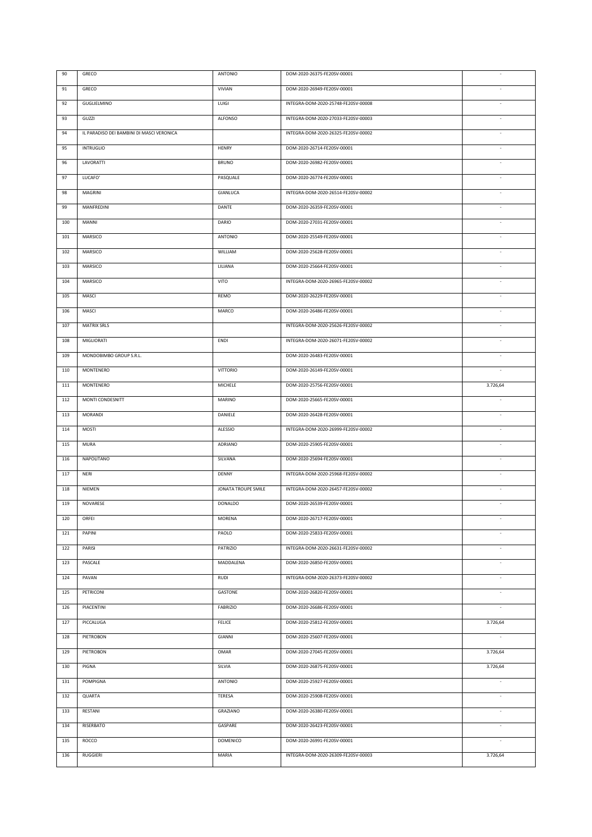| 90  | GRECO                                     | ANTONIO             | DOM-2020-26375-FE20SV-00001         |                          |
|-----|-------------------------------------------|---------------------|-------------------------------------|--------------------------|
| 91  | GRECO                                     | VIVIAN              | DOM-2020-26949-FE20SV-00001         |                          |
| 92  | GUGLIELMINO                               | LUIGI               | INTEGRA-DOM-2020-25748-FE20SV-00008 | ÷.                       |
| 93  | GUZZI                                     | ALFONSO             | INTEGRA-DOM-2020-27033-FE20SV-00003 | $\overline{\phantom{a}}$ |
| 94  | IL PARADISO DEI BAMBINI DI MASCI VERONICA |                     | INTEGRA-DOM-2020-26325-FE20SV-00002 | $\overline{\phantom{a}}$ |
| 95  | <b>INTRUGLIO</b>                          | HENRY               | DOM-2020-26714-FE20SV-00001         | ä,                       |
| 96  | LAVORATTI                                 | <b>BRUNO</b>        | DOM-2020-26982-FE20SV-00001         | $\overline{\phantom{a}}$ |
| 97  | LUCAFO'                                   | PASQUALE            | DOM-2020-26774-FE20SV-00001         | $\sim$                   |
| 98  | MAGRINI                                   | <b>GIANLUCA</b>     | INTEGRA-DOM-2020-26514-FE20SV-00002 | ä,                       |
| 99  | MANFREDINI                                | DANTE               | DOM-2020-26359-FE20SV-00001         | ÷,                       |
| 100 | MANNI                                     | DARIO               | DOM-2020-27031-FE20SV-00001         | ä,                       |
| 101 | MARSICO                                   | ANTONIO             | DOM-2020-25549-FE20SV-00001         | ÷,                       |
| 102 | MARSICO                                   | WILLIAM             | DOM-2020-25628-FE20SV-00001         | ÷,                       |
| 103 | MARSICO                                   | LILIANA             | DOM-2020-25664-FE20SV-00001         | ä,                       |
| 104 | MARSICO                                   | VITO                | INTEGRA-DOM-2020-26965-FE20SV-00002 | $\sim$                   |
| 105 | MASCI                                     | REMO                | DOM-2020-26229-FE20SV-00001         | $\sim$                   |
| 106 | MASCI                                     | MARCO               | DOM-2020-26486-FE20SV-00001         | $\sim$                   |
| 107 | <b>MATRIX SRLS</b>                        |                     | INTEGRA-DOM-2020-25626-FE20SV-00002 | $\Box$                   |
| 108 | MIGLIORATI                                | ENDI                | INTEGRA-DOM-2020-26071-FE20SV-00002 | $\sim$                   |
| 109 | MONDOBIMBO GROUP S.R.L.                   |                     | DOM-2020-26483-FE20SV-00001         | $\sim$                   |
| 110 | <b>MONTENERO</b>                          | VITTORIO            | DOM-2020-26149-FE20SV-00001         | $\overline{\phantom{a}}$ |
| 111 | <b>MONTENERO</b>                          | MICHELE             | DOM-2020-25756-FE20SV-00001         | 3.726,64                 |
| 112 | MONTI CONDESNITT                          | MARINO              | DOM-2020-25665-FE20SV-00001         | $\overline{\phantom{a}}$ |
| 113 | <b>MORANDI</b>                            | DANIELE             | DOM-2020-26428-FE20SV-00001         | $\overline{\phantom{a}}$ |
| 114 | MOSTI                                     | <b>ALESSIO</b>      | INTEGRA-DOM-2020-26999-FE20SV-00002 | $\overline{\phantom{a}}$ |
| 115 | MURA                                      | ADRIANO             | DOM-2020-25905-FE20SV-00001         | $\overline{\phantom{a}}$ |
| 116 | NAPOLITANO                                | SILVANA             | DOM-2020-25694-FE20SV-00001         | $\overline{\phantom{a}}$ |
| 117 | NERI                                      | DENNY               | INTEGRA-DOM-2020-25968-FE20SV-00002 | ÷,                       |
| 118 | NIEMEN                                    | JONATA TROUPE SMILE | INTEGRA-DOM-2020-26457-FE20SV-00002 |                          |
| 119 | NOVARESE                                  | <b>DONALDO</b>      | DOM-2020-26539-FE20SV-00001         |                          |
| 120 | ORFEI                                     | MORENA              | DOM-2020-26717-FE20SV-00001         |                          |
| 121 | PAPINI                                    | PAOLO               | DOM-2020-25833-FE20SV-00001         |                          |
| 122 | PARISI                                    | PATRIZIO            | INTEGRA-DOM-2020-26631-FE20SV-00002 | $\overline{\phantom{a}}$ |
| 123 | PASCALE                                   | MADDALENA           | DOM-2020-26850-FE20SV-00001         | ÷,                       |
| 124 | PAVAN                                     | RUDI                | INTEGRA-DOM-2020-26373-FE20SV-00002 | $\overline{\phantom{a}}$ |
| 125 | PETRICONI                                 | GASTONE             | DOM-2020-26820-FE20SV-00001         | $\overline{\phantom{a}}$ |
| 126 | PIACENTINI                                | FABRIZIO            | DOM-2020-26686-FE20SV-00001         | $\overline{\phantom{a}}$ |
| 127 | PICCALUGA                                 | <b>FELICE</b>       | DOM-2020-25812-FE20SV-00001         | 3.726,64                 |
| 128 | PIETROBON                                 | GIANNI              | DOM-2020-25607-FE20SV-00001         | ä,                       |
| 129 | PIETROBON                                 | OMAR                | DOM-2020-27045-FE20SV-00001         | 3.726,64                 |
| 130 | PIGNA                                     | SILVIA              | DOM-2020-26875-FE20SV-00001         | 3.726,64                 |
| 131 | <b>POMPIGNA</b>                           | ANTONIO             | DOM-2020-25927-FE20SV-00001         | $\sim$                   |
| 132 | QUARTA                                    | TERESA              | DOM-2020-25908-FE20SV-00001         | ÷,                       |
| 133 | RESTANI                                   | GRAZIANO            | DOM-2020-26380-FE20SV-00001         | $\overline{\phantom{a}}$ |
| 134 | RISERBATO                                 | GASPARE             | DOM-2020-26423-FE20SV-00001         | ÷,                       |
| 135 | ROCCO                                     | DOMENICO            | DOM-2020-26991-FE20SV-00001         | ÷,                       |
| 136 | RUGGIERI                                  | MARIA               | INTEGRA-DOM-2020-26309-FE20SV-00003 | 3.726,64                 |
|     |                                           |                     |                                     |                          |